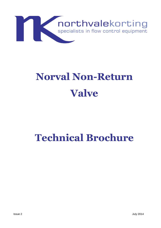

## **Norval Non-Return Valve**

## **Technical Brochure**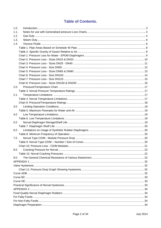### **Table of Contents.**

| 1.0. |  |
|------|--|
| 1.1. |  |
| 1.2. |  |
| 1.3. |  |
| 1.4. |  |
|      |  |
|      |  |
|      |  |
|      |  |
|      |  |
|      |  |
|      |  |
|      |  |
|      |  |
|      |  |
| 2.0. |  |
|      |  |
| 2.1. |  |
|      |  |
|      |  |
| 3.0  |  |
|      |  |
| 4.0  |  |
|      |  |
| 5.0  |  |
|      |  |
| 6.0  |  |
|      |  |
| 7.0  |  |
|      |  |
|      |  |
| 8.0  |  |
|      |  |
| 9.0  |  |
|      |  |
|      |  |
|      |  |
|      |  |
|      |  |
|      |  |
|      |  |
|      |  |
|      |  |
|      |  |
|      |  |
|      |  |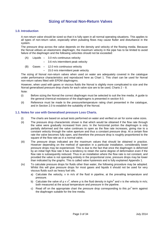### **Sizing of Norval Non-Return Valves**

### **1.0. Introduction**

A non-return valve should be sized so that it is fully open in all normal operating situations. This applies to all types of non-return valve, especially when pulsating flows may cause flutter and disturbance in the system.

The pressure drop across the valve depends on the density and velocity of the flowing media. Because the Norval utilises an elastomeric diaphragm, the maximum velocity in the pipe has to be limited to avoid failure of the diaphragm and the following velocities should not be exceeded:

- (A) Liquids 3.0 m/s continuous velocity
	- 3.6 m/s intermittent peak velocity

(B) Gases – 12.0 m/s continuous velocity

– 15.0 m/s intermittent peak velocity

The sizing of Norval non-return valves when used on water are adequately covered in the catalogue under performance characteristics and reproduced here as Chart 1. This chart can be used for Norval non-return valves fitted with EPDM diaphragms.

However, when used with gases or viscous fluids the Norval is slightly more complicated to size and the Norval generalised pressure drop charts for each valve size are to be used. Charts  $2 - 8$ .

Note:

- (i) Before sizing the Norval the correct diaphragm must be selected to suit the line media. A guide to the general chemical resistance of the diaphragms is presented in section 9.0.
- (ii) Reference must be made to the pressure/temperature rating chart presented in the catalogue, and in Section 2.0 to establish the suitability of the Norval.

### **1.1. Notes for use with Generalised pressure Loss Charts.**

- (i) The charts are based on actual tests performed on water and verified on air for some valve sizes.
- (ii) The pressure drop characteristic shown is that which would be obtained if the flow rate through the valve were gradually increased from zero. In the horizontal portion the diaphragm is only partially deformed and the valve continues to open as the flow rate increases, giving rise to a constant velocity through the valve aperture and thus a constant pressure drop. At a certain flow rate the valve becomes fully open, and therefore the pressure drop is roughly proportioned to the square of the flow rate as in a normal valve.
- (iii) The pressure drops indicated are the maximum values that should be obtained in practice. However depending on the method of operation in a particular installation, considerably lower pressure drops may be experienced. This is due to the fact that once the diaphragm is deformed by an initial high flow rate it has a tendency to retain the same degree of deformation even if the flow rate is subsequently reduced. Thus in an installation where the flow rate is not constant, and provided the valve is not operating entirely in the proportional zone, pressure drops may be lower than indicated by the graphs. This is called valve hysteresis and is fully explained Appendix 1.
- (iv) To calculate pressure drops for fluids other than water, the following procedure may be adopted. Whilst this will give pressure drops for most gases and liquids it should not be used for very viscous fluids such as heavy fuel oils.
	- a) Calculate the velocity, v in m/s of the fluid in pipeline, at the prevailing temperature and pressure.
	- b) Calculate the valve of  $\rho \times v^2$ , where  $\rho$  is the fluid density in kg/m<sup>3</sup> and v is the velocity in m/s; both measured at the actual temperature and pressure in the pipeline.
	- c) Read off on the appropriate chart the pressure drop corresponding to this  $\rho v^2$  term against the diaphragm suitable for the line media.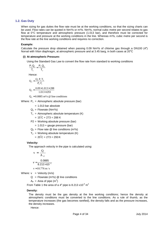### **1.2. Gas Duty**

When sizing for gas duties the flow rate must be at the working conditions, so that the sizing charts can be used. Flow rates can be quoted in Nm<sup>3</sup>/s or m<sup>3</sup>/s. Nm<sup>3</sup>/s, normal cubic metre per second relates to gas flow at 0°C temperature and atmospheric pressure (1.013 bar), and therefore must be corrected for temperature and pressure at the working conditions in the line. Whereas m<sup>3</sup>/s, cubic metre per second is the flow rate at the line working conditions and requires no correction.

### **Example:**

Calculate the pressure drop obtained when passing  $0.09$  Nm $\frac{3}{s}$  of chlorine gas through a DN100 (4") Norval with Viton diaphragm, at atmospheric pressure and at 3.45 barg, in both cases at  $20^{\circ}$ C

### **(i) At atmospheric Pressure:**

Using the Standard Gas Law to convert the flow rate from standard to working conditions

$$
\frac{P_1 Q_1}{T_1} = \frac{P_2 Q_2}{T_2}
$$

Hence:

$$
Q_2 = \frac{Q_1 P_1 T_2}{P_2 T_1}
$$
  

$$
Q_2 = \frac{0.09 \times 1.013 \times 288}{1.013 \times 293}
$$

 $Q_2 = 0.0885$  m<sup>3</sup>/s @ line conditions

Where:  $P_1$  = Atmospheric absolute pressure (bar)

 $= 1.013$  bar absolute

- $Q_1$  = Flowrate (Nm<sup>3</sup>/s)
- $T_1$  = Atmospheric absolute temperature (K)
	- $= 15^{\circ}$ C + 273 = 288 K
- P2 = Working absolute pressure (bar)
	- $= 1.013 +$  gauge pressure (bar)
- $Q_2$  = Flow rate @ line conditions (m<sup>3</sup>/s)
- $T_2$  = Working absolute temperature (K)

 $= 20^{\circ}$ C + 273 = 293 K

### **Velocity:**

The approach velocity in the pipe is calculated using:

$$
v = \frac{Q}{A_{P}}
$$
  

$$
v = \frac{0.0885}{8.213 \times 10^{-3}}
$$
  

$$
v = 10.776 \text{ m/s}
$$

Where:  $v =$  Velocity (m/s)

 $Q =$  Flowrate (m<sup>3</sup>/s)  $@$  line conditions

 $A_P$  = Area of pipe (m<sup>2</sup>)

From Table 1 the area of a 4" pipe is 8.213  $x10^{-3}$  m<sup>2</sup>

### **Density:**

The density must be the gas density at the line working conditions; hence the density at atmospheric conditions must be converted to the line conditions. As a rule of thumb, as the temperature increases (the gas becomes rarefied), the density falls and as the pressure increases, the density increases.

Hence: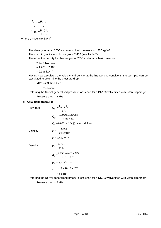$$
\frac{\rho_1 T_1}{P_1} = \frac{\rho_2 T_2}{P_2}
$$

$$
\therefore \rho_2 = \frac{\rho_1 P_2 T_1}{P_1 T_2}
$$

Where  $p =$  Density kg/m<sup>3</sup>

The density for air at 20 $^{\circ}$ C and atmospheric pressure = 1.205 kg/m3. The specific gravity for chlorine gas = 2.486 (see Table 2). Therefore the density for chlorine gas at 20°C and atmospheric pressure

 $= \rho_{air}$  x SG<sub>chlorine</sub>  $= 1.205 \times 2.486$ = 2.996 kg/m $^3$ 

Having now calculated the velocity and density at the line working conditions, the term ρv2 can be calculated to determine the pressure drop.

 $\rho$  v  $^2$  = 2.996 $\times$ 10.776 $^2$ 

 $= 347.902$ 

Referring the Norval generalised pressure loss chart for a DN100 valve fitted with Viton diaphragm:

Pressure drop = 2 kPa.

### **(ii) At 50 psig pressure:**

Flow rate:

Velocity

**Density** 

e:  
\n
$$
Q_{2} = \frac{Q_{1} P_{1} T_{1}}{P_{2} T_{2}}
$$
\n
$$
Q_{2} = \frac{0.09 \times 1.013 \times 288}{4.463 \times 293}
$$
\n
$$
Q_{2} = 0.0201 \text{ m}^{3} / \text{s} \text{ @ line conditions}
$$
\n
$$
v = \frac{.0201}{8.213 \times 10^{-3}}
$$
\n
$$
v = 2.447 \text{ m/s}
$$
\n
$$
\rho_{2} = \frac{\rho_{1} P_{2} T_{1}}{P_{1} T_{2}}
$$
\n
$$
\rho_{2} = \frac{2.996 \times 4.463 \times 293}{1.013 \times 288}
$$
\n
$$
\rho_{2} = 13.429 \text{ kg/m}^{3}
$$
\n
$$
\rho v^{2} = 13.429 \times 2.447^{2}
$$
\n
$$
= 80.410
$$

Referring the Norval generalised pressure loss chart for a DN100 valve fitted with Viton diaphragm: Pressure drop = 2 kPa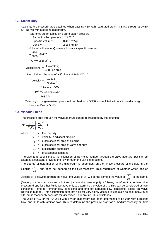### **1.3. Steam Duty**

Calculate the pressure drop obtained when passing 410 kg/hr saturated steam 3 BarG through a DN80 (3") Norval with a silicone diaphragm.

Reference steam tables @ 3 bar g steam pressure

Saturation Temperature: 143.63ºC Specific Volume: 0.462 m<sup>3</sup>/kg

Density: 2.164 kg/m<sup>3</sup>

Volumetric flowrate,  $Q =$  mass flowrate x specific volume 410

$$
=\frac{416}{3600}\times 0.462
$$
  
:. Q = 0.0526 m<sup>3</sup>/s

60 $\times$ Pipe area Velocity (ft/s) =  $\frac{\text{Flowrate}, Q}{\text{SSE}}$  $=\frac{1}{60\times}$ 

From Table 1 the area of a 3" pipe is  $4.769 \times 10^{-3}$  m<sup>2</sup>

$$
\therefore \text{ Velocity} = \frac{0.0526}{4.769 \times 10^{-3}} = 11.030 \text{ m/sec}
$$

$$
pv^{2} = 2.164 \times 11.030^{2}
$$

$$
= 263.274
$$

Referring to the generalised pressure loss chart for a DN80 Norval fitted with a silicone diaphragm: Pressure Drop = 5 kPa

### **1.4. Viscous Fluids**

The pressure drop through the valve aperture can be represented by the equation:

$$
\Delta P = \frac{\rho v^2}{2gC_o^2} \left[ \left( \frac{A_{\rm p}}{A_{\rm v}} \right)^2 - 1 \right]
$$

where  $p = fluid density$ 

 $v =$  velocity in adjacent pipeline

 $A_p$  = cross sectional area of pipeline

 $A_v$  = cross sectional area of valve aperture

 $C<sub>O</sub>$  = a discharge coefficient

g = gravitational constant

The discharge coefficient  $C<sub>o</sub>$  is a function of Reynolds number through the valve aperture, but can be taken as a constant, provided the flow through the valve is turbulent.

The degree of deformation of the diaphragm is dependent on the kinetic pressure of the fluid in the pipeline  $\frac{\rho}{2g}$ v 2  $\frac{\rho v^2}{2}$ , and does not depend on the fluid viscosity. Thus regardless of whether water, gas or

viscous oil is flowing through the valve, the value of A<sub>V</sub> will be the same if the value of  $\frac{\rho v}{2g}$ v 2  $\frac{\rho v^2}{2}$  is the same.

(Since g is a constant we can omit it and just use the value of  $pv^2$ ). It follows, therefore, that to determine pressure drops for other fluids we have only to determine the value of  $C_0$ . This can be considered as two constants – one for laminar flow conditions and one for turbulent flow conditions, based on valve Reynolds number. This assumption does not hold for very highly viscous liquids such as cold, heavy fuel oils, but is reasonably accurate for viscosities up to around 500 centistokes.

The value of  $C<sub>o</sub>$  for the  $\frac{3}{4}$ " valve with a Viton diaphragm has been determined to be 0.84 with turbulent flow, and 0.52 with laminar flow. Thus to determine the pressure drop for a medium viscosity oil, first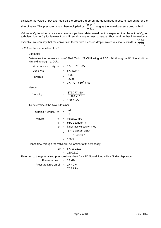calculate the value of ρv² and read off the pressure drop on the generalised pressure loss chart for the

size of valve. This pressure drop is then multiplied by 2  $0.52$  $\left( \frac{0.84}{0.025} \right)$ J  $\left(\frac{0.84}{1.2}\right)$ l  $\left(\frac{0.84}{2.73}\right)^2$  to give the actual pressure drop with oil.

Values of  $C_{\text{O}}$  for other size valves have not yet been determined but it is expected that the ratio of  $C_{\text{O}}$  for turbulent flow to  $C_{\text{O}}$  for laminar flow will remain more or less constant. Thus, until further information is 2

available, we can say that the conversion factor from pressure drop in water to viscous liquids is  $0.52$  $\left( \frac{0.84}{0.025} \right)$ J  $\left(\frac{0.84}{\ldots}\right)$ l ſ

or 2.6 for the same value of ρv².

### Example:

Determine the pressure drop of Shell Turbo 29 Oil flowing at 1.36 m<sup>3</sup>/h through a <sup>3</sup>/4" Norval with a Nitrile diaphragm at 20ºC.

| Kinematic viscosity, $v = 134 \times 10^{-6}$ m <sup>2</sup> /s |                                              |
|-----------------------------------------------------------------|----------------------------------------------|
| Density $\rho$                                                  | $= 877$ kg/m <sup>3</sup>                    |
| Flowrate                                                        | 1.36<br>3600                                 |
|                                                                 | $= 377.777 \times 10^{-6}$ m <sup>3</sup> /s |
| Hence                                                           |                                              |
|                                                                 |                                              |

Velocity v

$$
= \frac{377.777 \times 10^{-6}}{288 \times 10^{-6}}
$$
  
= 1.312 m/s

To determine if the flow is laminar

| Reynolds Number, Re |  |     | vd<br>$\upsilon$                             |
|---------------------|--|-----|----------------------------------------------|
| where               |  |     | $v =$ velocity, m/s                          |
|                     |  |     | $d =$ pipe diameter, m                       |
|                     |  |     | $v =$ kinematic viscosity, m <sup>2</sup> /s |
|                     |  |     | $1.312\times19.05\times10^{-3}$              |
|                     |  |     | $134\times10^{-6}$                           |
|                     |  | $=$ | 186.5                                        |
|                     |  |     |                                              |

Hence flow through the valve will be laminar at this viscosity

$$
pv2 = 877 \times 1.3122
$$
  
= 1509.619

Referring to the generalised pressure loss chart for a  $\frac{3}{4}$ " Norval fitted with a Nitrile diaphragm.

$$
Pressure drop = 27 kPa
$$

$$
\therefore \text{ Pressure Drop on oil} = 27 \times 2.6
$$

$$
= 70.2 \text{ kPa.}
$$

,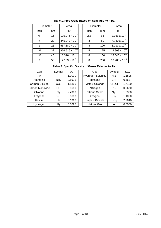| Diameter       |    | Area                       |                | Diameter | Area           |
|----------------|----|----------------------------|----------------|----------|----------------|
| Inch           | mm | m <sup>2</sup>             | Inch           | mm       | m <sup>2</sup> |
| $\frac{1}{2}$  | 15 | 195.075 x 10 <sup>-6</sup> | $2\frac{1}{2}$ | 65       | 3.086x         |
| $\frac{3}{4}$  | 20 | 345.042 x 10 <sup>-6</sup> | 3              | 80       | 4.769 x        |
|                | 25 | 557.389 x 10 <sup>-6</sup> | 4              | 100      | 8.213 x        |
| $1\frac{1}{4}$ | 32 | 966.516 x 10 <sup>-6</sup> | 5              | 125      | 12.908 x       |
| $1\frac{1}{2}$ | 40 | $1.316 \times 10^{-3}$     | 6              | 150      | 18.646 x       |
| $\overline{2}$ | 50 | $2.163 \times 10^{-3}$     | 8              | 200      | 32.283 x       |

|  |  | Table 1. Pipe Areas Based on Schedule 40 Pipe. |  |
|--|--|------------------------------------------------|--|
|  |  |                                                |  |

| Diameter       |    | Area                       | Diameter       |     | Area                   |
|----------------|----|----------------------------|----------------|-----|------------------------|
| nch            | mm | m <sup>2</sup>             | Inch           | mm  | m <sup>2</sup>         |
| $\frac{1}{2}$  | 15 | $195.075 \times 10^{-6}$   | $2\frac{1}{2}$ | 65  | 3.086 x $10^{-3}$      |
| $\frac{3}{4}$  | 20 | 345.042 x 10 <sup>-6</sup> | 3              | 80  | $4.769 \times 10^{-3}$ |
| $\overline{1}$ | 25 | 557.389 x 10 <sup>-6</sup> | 4              | 100 | $8.213 \times 10^{-3}$ |
| $1\frac{1}{4}$ | 32 | 966.516 x $10^{-6}$        | 5              | 125 | 12.908 x $10^{-3}$     |
| $1\frac{1}{2}$ | 40 | $1.316 \times 10^{-3}$     | 6              | 150 | 18.646 x $10^{-3}$     |
| 2              | 50 | $2.163 \times 10^{-3}$     | 8              | 200 | 32.283 x $10^{-3}$     |

### **Table 2. Specific Gravity of Gases Relative to Air.**

| Gas             | Symbol          | SG.    | Gas                | Symbol             | SG.    |
|-----------------|-----------------|--------|--------------------|--------------------|--------|
| Air             |                 | 1.0000 | Hydrogen Sulphide  | $H_2S$             | 1.1895 |
| Ammonia         | NH <sub>3</sub> | 0.5971 | Methane            | CH <sub>4</sub>    | 0.5537 |
| Carbon Dioxide  | CO <sub>2</sub> | 1.5300 | Methyl Chloride    | CH <sub>3</sub> Cl | 1.7400 |
| Carbon Monoxide | CO              | 0.9680 | Nitrogen           | $N_2$              | 0.9670 |
| Chlorine        | Cl <sub>2</sub> | 2.4900 | Nitrous Oxide      | N <sub>2</sub> 0   | 1.5300 |
| Ethylene        | $C_2H_4$        | 0.9683 | Oxygen             | O <sub>2</sub>     | 1.1050 |
| <b>Helium</b>   | He              | 0.1368 | Suphur Dioxide     | SO <sub>2</sub>    | 2.2640 |
| Hydrogen        | H <sub>2</sub>  | 0.0695 | <b>Natural Gas</b> |                    | 0.6000 |

| Symbol          | SG.    | Gas                | Symbol             | SG.    |
|-----------------|--------|--------------------|--------------------|--------|
|                 | 1.0000 | Hydrogen Sulphide  | $H_2S$             | 1.1895 |
| NH <sub>3</sub> | 0.5971 | Methane            | CH <sub>4</sub>    | 0.5537 |
| CO <sub>2</sub> | 1.5300 | Methyl Chloride    | CH <sub>3</sub> Cl | 1.7400 |
| CO              | 0.9680 | Nitrogen           | N <sub>2</sub>     | 0.9670 |
| Cl <sub>2</sub> | 2.4900 | Nitrous Oxide      | N <sub>2</sub> 0   | 1.5300 |
| $C_2H_4$        | 0.9683 | Oxygen             | O <sub>2</sub>     | 1.1050 |
| He              | 0.1368 | Suphur Dioxide     | SO <sub>2</sub>    | 2.2640 |
| H <sub>2</sub>  | 0.0695 | <b>Natural Gas</b> |                    | 0.6000 |
|                 |        |                    |                    |        |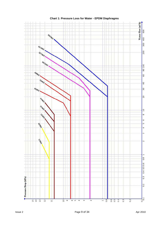

**Chart 1: Pressure Loss for Water - EPDM Diaphragms**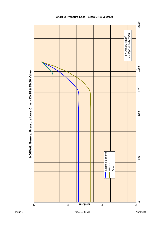

### **Chart 2: Pressure Loss - Sizes DN15 & DN20**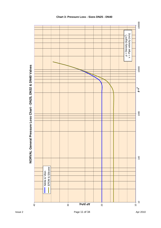

# NORVAL General Pressure Loss Chart - DN25, DN32 & DN40 Valves

### **Chart 3: Pressure Loss - Sizes DN25 - DN40**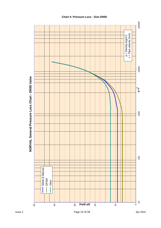

## NORVAL General Pressure Loss Chart - DN50 Valve

### **Chart 4: Pressure Loss - Size DN50**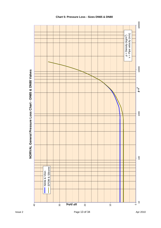

# NORVAL General Pressure Loss Chart - DN65 & DN80 Valves

### **Chart 5: Pressure Loss - Sizes DN65 & DN80**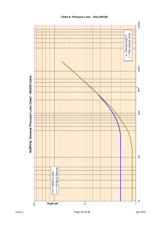

## NORVAL General Pressure Loss Chart - DN100 Valve

### **Chart 6: Pressure Loss - Size DN100**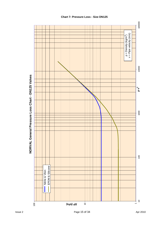



### **Chart 7: Pressure Loss - Size DN125**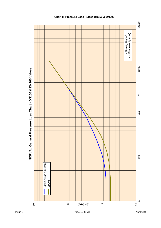

### **Chart 8: Pressure Loss - Sizes DN150 & DN200**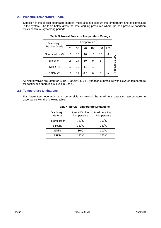### **2.0. Pressure/Temperature Chart.**

Selection of the correct diaphragm material must take into account the temperature and backpressure in the system. The table below gives the safe working pressures where the backpressure condition exists continuously for long periods.

| Diaphragm           |    | Temperature <sup>°</sup> C |     |     |     |     |          |  |
|---------------------|----|----------------------------|-----|-----|-----|-----|----------|--|
| <b>Rubber Grade</b> | 20 | 50                         | 70  | 100 | 150 | 200 |          |  |
| Fluorocarbon (3)    | 16 | 16                         | 16  | 16  | 10  | 4   |          |  |
| Silicon (4)         | 16 | 14                         | 10  | 9   | 8   |     | BarG     |  |
| Nitrile (6)         | 16 | 16                         | 14  | 12  |     |     | Pressure |  |
| EPDM (7)            | 16 | 11                         | 8.5 | 6   | 3   |     |          |  |

### **Table 3. Norval Pressure Temperature Ratings.**

All Norval valves are rated for 16 BarG at 21ºC (70ºF); variation of pressure with elevated temperature for continuous operation is given in Chart 9.

### **2.1. Temperature Limitations.**

For intermittent operation it is permissible to extend the maximum operating temperature in accordance with the following table:

| Diaphragm<br>Material | Normal Working<br>Temperature | Maximum Peak<br>Temperature |
|-----------------------|-------------------------------|-----------------------------|
| Fluorocarbon          | $180^{\circ}$ C               | $200^{\circ}$ C             |
| Silicone              | $150^{\circ}$ C               | $180^{\circ}$ C             |
| <b>Nitrile</b>        | $80^{\circ}$ C                | $100^{\circ}$ C             |
| <b>EPDM</b>           | $120^{\circ}$ C               | $150^{\circ}$ C             |

### **Table 4. Norval Temperature Limitations.**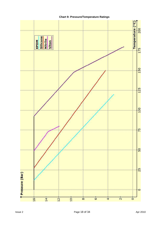

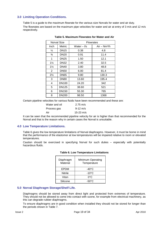### **3.0 Limiting Operation Conditions.**

Table 5 is a guide to the maximum flowrate for the various size Norvals for water and air duty. The flowrates are based on the maximum pipe velocities for water and air at entry of 3 m/s and 12 m/s respectively.

|                | Norval Size  | <b>Flowrates</b> |               |  |
|----------------|--------------|------------------|---------------|--|
| Inch.          | Metric       | Water – I/s      | $Air - Nm3/h$ |  |
| $\frac{1}{2}$  | DN15         | 0.38             | 4.8           |  |
| $\frac{3}{4}$  | <b>DN20</b>  | 0.91             | 11.4          |  |
| 1              | <b>DN25</b>  | 1.50             | 12.1          |  |
| $1\frac{1}{4}$ | DN32         | 2.40             | 32.5          |  |
| $1\frac{1}{2}$ | <b>DN40</b>  | 3.80             | 48.8          |  |
| $\overline{2}$ | <b>DN50</b>  | 6.00             | 81.4          |  |
| $2\frac{1}{2}$ | <b>DN65</b>  | 9.80             | 130.3         |  |
| 3              | <b>DN80</b>  | 13.60            | 195.4         |  |
| 4              | DN100        | 24.20            | 342           |  |
| 5              | DN125        | 38.60            | 521           |  |
| 6              | DN150        | 55.30            | 765           |  |
| 8              | <b>DN200</b> | 98.50            | 1368          |  |

### **Table 5. Maximum Flowrates for Water and Air**

Certain pipeline velocities for various fluids have been recommended and these are:

| Water and oil | $2.75 \text{ m/s}$ |
|---------------|--------------------|
| Process gas   | $9-12 \text{ m/s}$ |
| Air           | 15-23 $m/s$        |

It can be seen that the recommended pipeline velocity for air is higher than that recommended for the Norval and that is the reason why in certain cases the Norval is unsuitable.

### **4.0 Low Temperature Limitations.**

Table 6 gives the low temperature limitations of Norval diaphragms. However, it must be borne in mind that the performance of the elastomer at low temperatures will be impaired relative to room or elevated temperatures.

Caution should be exercised in specifying Norval for such duties – especially with potentially hazardous fluids.

| Diaphragm<br>Material | <b>Minimum Operating</b><br>Temperature |
|-----------------------|-----------------------------------------|
| EPDM                  | -40 $^{\circ}$ C                        |
| Nitrile               | $-10^{\circ}$ C                         |
| Viton                 | 0°C                                     |
| Silicone              | -50°C                                   |

### **Table 6. Low Temperature Limitations**

### **5.0 Norval Diaphragm Storage/Shelf Life.**

Diaphragms should be stored away from direct light and protected from extremes of temperature. They should not be allowed to come into contact with ozone, for example from electrical machinery, as this can degrade rubber diaphragms.

To ensure diaphragms are in good condition when installed they should not be stored for longer than the periods shown in Table 7.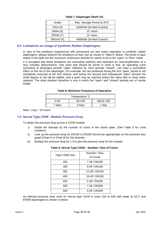| Grade        | Max. Storage Period at 20°C   |
|--------------|-------------------------------|
| Viton $(3)$  | Indefinite (at least 8 years) |
| Nitrile (6)  | 15 Years                      |
| EPDM(7)      | 15 Years                      |
| Silicone (4) | Indefinite (at least 8 years) |

### **Table 7. Diaphragm Shelf Life**

### **6.0 Limitations on Usage of Synthetic Rubber Diaphragms.**

In view of the problems experienced with permanent set and stress relaxation in synthetic rubber diaphragms, please observe the limitations to their use as shown in Table 8, below. The times in days stated in the table are the maximum continuous periods for valves to be in the "open" or "flow" mode.

It is accepted that these limitations are somewhat arbitrary and represent an oversimplification of a very complex phenomenon. One point that should be borne in mind is that, an operating cycle consisting of prolonged periods "open" followed by short periods "closed", can have a cumulative effect on the set of the diaphragm. For example: the set produced during the first "open" period is not completely reversed at the first closure, and during the second and subsequent "open" periods the initial degree of set will be added, until a point may be reached where the valve fails to close when required. The ideal situation therefore is one in which the "open" and "closed" periods are of similar length.

| Table 8. Minimum Frequency of Operation |  |  |
|-----------------------------------------|--|--|
|-----------------------------------------|--|--|

| Temperature C               |        |       |  |  |  |
|-----------------------------|--------|-------|--|--|--|
| 50-100<br>Above 100<br>0-50 |        |       |  |  |  |
| 7 days                      | 3 days | 1 day |  |  |  |

Note: 1 day  $= 24$  hours.

### **7.0 Norval Type CD/M - Module Pressure Drop.**

To obtain the pressure drop across a CD/M module:

- i) Divide the flowrate by the number of cones in the centre plate. (See Table 9 for cone numbers).
- ii) Look up the pressure drop for DN100 or DN200 Norval (as appropriate) on the pressure loss graph (Chart 6 or Chart 8) for this flowrate.
- iii) Multiply the pressure drop by 1.3 to give the pressure drop for the module.

| Table 9. Norval Type CD/M – Number / Size of Co |                           |  |  |  |  |
|-------------------------------------------------|---------------------------|--|--|--|--|
| Type CD/M Size                                  | Number / Size<br>of Cones |  |  |  |  |
| 250                                             | 7 off / DN100             |  |  |  |  |
| 300                                             | 9 off / DN100             |  |  |  |  |
| 350                                             | 12 off / DN100            |  |  |  |  |
| 400                                             | 16 off / DN100            |  |  |  |  |
| 450                                             | 5 off / DN200             |  |  |  |  |
| 500                                             | 7 off / DN200             |  |  |  |  |
| 600                                             | 9 off / DN200             |  |  |  |  |

**Table 9. Norval Type CD/M – Number / Size of Cones** 

An inferred pressure drop chart for Norval type CD/M in sizes 250 to 600 with water at 15°C and EPDM diaphragms is shown in below.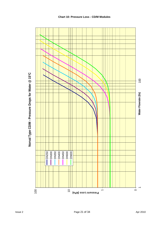

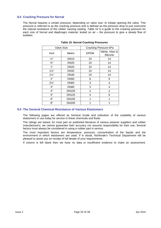### **8.0 Cracking Pressure for Norval**

The Norval requires a certain pressure, depending on valve size, to initiate opening the valve. This pressure is referred to as the cracking pressure and is defined as the pressure drop to just overcome the natural resistance of the rubber causing sealing. Table 10 is a guide to the cracking pressure for each size of Norval and diaphragm material, tested on air – the pressure to give a steady flow of bubbles.

| <b>Valve Size</b> |              |             | Cracking Pressure kPa        |
|-------------------|--------------|-------------|------------------------------|
| Inch              | Metric       | <b>EPDM</b> | Nitrile, Viton &<br>Silicone |
| $\frac{1}{2}$ "   | <b>DN15</b>  | 10          | 14                           |
| $\frac{3}{4}$ "   | <b>DN20</b>  | 10          | 14                           |
| 1"                | <b>DN25</b>  | 10          | 14                           |
| $1\frac{1}{4}$    | <b>DN32</b>  | 10          | 14                           |
| $1\frac{1}{2}$    | <b>DN40</b>  | 10          | 14                           |
| 2"                | <b>DN50</b>  | 6           | 9                            |
| $2\frac{1}{2}$ "  | <b>DN65</b>  | 3           | 4                            |
| 3"                | <b>DN80</b>  | 3           | 4                            |
| 4"                | <b>DN100</b> | 2           | $\overline{2}$               |
| 5"                | <b>DN125</b> | 4           | 6                            |
| 6"                | <b>DN150</b> | 1           | 1                            |
| 8"                | <b>DN200</b> | 1           | 1                            |

### **Table 10. Norval Cracking Pressures**

### **9.0 The General Chemical Resistance of Various Elastomers**

The following pages are offered as General Guide and indication of the suitability of various elastomers in use today for service in these chemicals and fluids.

The ratings are based, for most part on published literature of various polymer suppliers and rubber manufacturers; we cannot guarantee their accuracy nor assume responsibility for their use. Several factors must always be considered in using a rubber part in service.

The most important factors are temperature, pressure, concentration of the liquids and the environment in which elastomers are used. If in doubt, Northvale's Technical Department will be pleased to assist you on receipt of full details of your requirements.

If column is left blank then we have no data or insufficient evidence to make an assessment.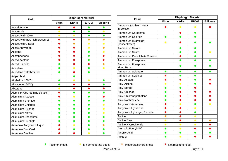| <b>Fluid</b>                                | <b>Diaphragm Material</b> |                |             |                 |  |
|---------------------------------------------|---------------------------|----------------|-------------|-----------------|--|
|                                             | <b>Viton</b>              | <b>Nitrile</b> | <b>EPDM</b> | <b>Silicone</b> |  |
| Acetaldehyde                                |                           |                |             |                 |  |
| Acetamide                                   | $\bullet$                 |                | ●           | $\bullet$       |  |
| Acetic Acid (30%)                           | $\bullet$                 |                | $\bullet$   | o               |  |
| Acetic Acid (hot, high pressure)            |                           |                | $\bullet$   | $\bullet$       |  |
| <b>Acetic Acid Glacial</b>                  |                           |                | $\bullet$   | $\bullet$       |  |
| Acetic Anhydride                            |                           |                | $\bullet$   | $\bullet$       |  |
| Acetone                                     |                           |                | 0           | $\bullet$       |  |
| Acetophenone                                |                           |                | $\bullet$   |                 |  |
| Acetyl Acetone                              |                           |                | $\bullet$   |                 |  |
| <b>Acetyl Chloride</b>                      |                           |                |             |                 |  |
| Acetylene                                   | $\bullet$                 |                | $\bullet$   | $\bullet$       |  |
| Acetylene Tetrabromide                      | $\bullet$                 |                | O           |                 |  |
| Adipic Acid                                 |                           | O              |             |                 |  |
| Air (below 150°C)                           |                           |                | $\bullet$   |                 |  |
| Air (above 150°C)                           |                           |                |             |                 |  |
| Alkazene                                    | $\bullet$                 |                |             |                 |  |
| Alum NH <sub>3</sub> CrK (tanning solution) |                           |                | O           |                 |  |
| <b>Aluminium Acetate</b>                    |                           |                | O           |                 |  |
| Aluminium Bromide                           |                           |                | O           |                 |  |
| Aluminium Chloride                          |                           |                | O           | $\bullet$       |  |
| <b>Aluminium Fluoride</b>                   |                           |                | O           | $\bullet$       |  |
| <b>Aluminium Nitrate</b>                    |                           |                | $\bullet$   | $\bullet$       |  |
| Aluminium Phosphate                         |                           |                | ●           |                 |  |
| Aluminium Sulphate                          |                           |                | 0           |                 |  |
| Ammonia Anhydrous Liquid                    |                           | $\bullet$      | ●           |                 |  |
| Ammonia Gas Cold                            |                           | O              | $\bullet$   | $\bullet$       |  |
| Ammonia Gas Hot                             |                           |                | $\bullet$   |                 |  |

| <b>Fluid</b>                           | <b>Diaphragm Material</b> |                |             |                 |  |
|----------------------------------------|---------------------------|----------------|-------------|-----------------|--|
|                                        | Viton                     | <b>Nitrile</b> | <b>EPDM</b> | <b>Silicone</b> |  |
| Ammonia & Lithium Metal<br>in Solution |                           | $\bullet$      | $\bullet$   |                 |  |
| Ammonium Carbonate                     |                           |                | $\bullet$   |                 |  |
| Ammonium Chloride                      |                           |                |             |                 |  |
| Ammonium Hydroxide<br>(concentrated)   | $\bullet$                 |                | O           | O               |  |
| <b>Ammonium Nitrate</b>                |                           |                | $\bullet$   |                 |  |
| Ammonium Nitrite                       |                           | O              | $\bullet$   | $\bullet$       |  |
| Ammonium Persulphate Solution          |                           |                | ●           |                 |  |
| Ammonium Phosphate                     |                           |                | O           | O               |  |
| Ammonium Phosphate<br>Mono Basic       |                           |                | O           |                 |  |
| Ammonium Sulphate                      | $\bullet$                 |                | $\bullet$   |                 |  |
| Ammonium Sulphide                      |                           | o              | $\bullet$   |                 |  |
| Amyl Acetate                           |                           |                | O           |                 |  |
| Amyl Alcohol                           |                           |                |             |                 |  |
| Amyl Borate                            |                           |                |             |                 |  |
| Amyl Chloride                          | O                         |                |             |                 |  |
| Amyl Chloranaphthalene                 | ●                         |                |             |                 |  |
| Amyl Naphthalene                       |                           |                |             |                 |  |
| Anhydrous Ammonia                      |                           |                |             | $\bullet$       |  |
| Anhydrous Hydrazine                    |                           |                | $\bullet$   |                 |  |
| Anhydrous Hydrogen Fluoride            |                           |                | $\bullet$   |                 |  |
| Aniline                                |                           |                | $\bullet$   |                 |  |
| <b>Aniline Dyes</b>                    | $\bullet$                 |                | $\bullet$   | O               |  |
| Aniline Hydrochloride                  | $\bullet$                 | $\bullet$      | $\bullet$   |                 |  |
| Aromatic Fuel (50%)                    | $\bullet$                 | $\bullet$      |             |                 |  |
| Arsenic Acid                           | 0                         | O              | O           | O               |  |
| Askarel                                |                           |                |             |                 |  |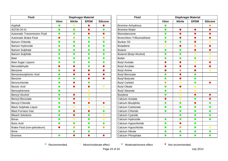| <b>Fluid</b>                        | Diaphragm Material |                              |             |                 |
|-------------------------------------|--------------------|------------------------------|-------------|-----------------|
|                                     | <b>Viton</b>       | <b>Nitrile</b>               | <b>EPDM</b> | <b>Silicone</b> |
| Asphalt                             | O                  | $\bullet$                    |             |                 |
| <b>ASTM Oil #1</b>                  | $\bullet$          | $\bullet$                    | 0           | O               |
| <b>Automatic Transmission Fluid</b> | 0                  | $\bullet$                    |             |                 |
| <b>Automatic Brake Fluid</b>        |                    | $\bullet$                    | $\bullet$   | O               |
| <b>Barium Chloride</b>              | $\bullet$          | $\bullet$                    | $\bullet$   |                 |
| Barium Hydroxide                    | $\bullet$          | 0                            | $\bullet$   |                 |
| <b>Barium Sulphate</b>              |                    | ●                            | $\bullet$   |                 |
| <b>Barium Sulphide</b>              | $\bullet$          | o                            | ●           |                 |
| Beer                                |                    | ●                            | ●           |                 |
| <b>Beet Sugar Liquors</b>           |                    |                              |             |                 |
| Benzaldehyde                        |                    |                              |             |                 |
| Benzene                             |                    |                              |             |                 |
| Benzenesulphonic Acid               |                    |                              |             |                 |
| <b>Benzine</b>                      | O                  |                              |             |                 |
| Benzochloride                       |                    |                              |             |                 |
| <b>Bezoic Acid</b>                  |                    |                              |             | $\bullet$       |
| Benzophenone                        |                    |                              | $\bullet$   |                 |
| <b>Benzyl Alcohol</b>               |                    |                              | $\bullet$   |                 |
| Benzyl Benzoate                     |                    |                              | $\bullet$   |                 |
| <b>Benzyl Chloride</b>              |                    |                              |             |                 |
| <b>Black Sulphate Liquor</b>        |                    | $\qquad \qquad \blacksquare$ | $\bullet$   | $\bullet$       |
| <b>Blast Furnace Gas</b>            |                    |                              |             |                 |
| <b>Bleach Solutions</b>             | O                  |                              | $\bullet$   | $\bullet$       |
| <b>Borax</b>                        |                    | $\bullet$                    |             | $\bullet$       |
| <b>Boric Acid</b>                   | 0                  | O                            | $\bullet$   | O               |
| Brake Fluid (non-petroleum)         |                    | $\bullet$                    | $\bullet$   | $\bullet$       |
| <b>Brine</b>                        |                    | $\bullet$                    | $\bullet$   |                 |
| <b>Bromine</b>                      |                    |                              |             |                 |

| <b>Fluid</b>                      | <b>Diaphragm Material</b> |                |             |                 |
|-----------------------------------|---------------------------|----------------|-------------|-----------------|
|                                   | <b>Viton</b>              | <b>Nitrile</b> | <b>EPDM</b> | <b>Silicone</b> |
| <b>Bromine Anhydrous</b>          | $\bullet$                 |                |             |                 |
| <b>Bromine Water</b>              | O                         |                |             |                 |
| Biomobenzene                      | $\bullet$                 |                |             |                 |
| <b>Bromchloro Trifluoroethane</b> | O                         |                |             |                 |
| <b>Bunker Oil</b>                 | 0                         |                |             |                 |
| <b>Butadiene</b>                  | $\bullet$                 |                |             |                 |
| <b>Butane</b>                     | $\bullet$                 |                |             |                 |
| Butanol (Butyl Alcohol)           | O                         |                | $\bullet$   | $\bullet$       |
| <b>Butter</b>                     | O                         |                |             | $\bullet$       |
| <b>Butyl Acetate</b>              |                           |                | $\bullet$   |                 |
| <b>Butyl Acrylate</b>             |                           |                |             |                 |
| <b>Butyl Amine</b>                |                           |                |             | $\bullet$       |
| <b>Butyl Benzoate</b>             | O                         |                |             |                 |
| <b>Butyl Butyrate</b>             | $\bullet$                 |                | $\bullet$   |                 |
| <b>Butyl Carbitol</b>             | $\bullet$                 | $\bullet$      | $\bullet$   |                 |
| <b>Butyl Oleate</b>               | $\bullet$                 |                | $\bullet$   |                 |
| <b>Butyl Stearate</b>             | $\bullet$                 | $\bullet$      | $\bullet$   |                 |
| <b>Butylene</b>                   | $\bullet$                 | $\bullet$      |             |                 |
| Calcium Acetate                   |                           |                |             |                 |
| Calcium Bisulphite                | O                         | O              |             |                 |
| Calcium Carbonate                 | ●                         | ●              | ●           |                 |
| Calcium Chloride                  | ●                         | ●              | ●           | ●               |
| Calcium Cyanide                   |                           |                |             |                 |
| Calcium Hydroxide                 | 0                         |                | ●           | $\bullet$       |
| Calcium Hypochloride              |                           |                |             |                 |
| Calcium Hypochlorite              |                           |                |             | $\bullet$       |
| <b>Calcium Nitrate</b>            |                           |                |             |                 |
| Calcium Phosphate                 |                           |                |             |                 |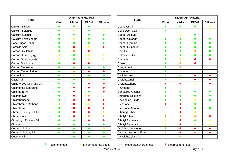| <b>Fluid</b>                   |              |                | <b>Diaphragm Material</b> |                 | <b>Fluid</b>               |
|--------------------------------|--------------|----------------|---------------------------|-----------------|----------------------------|
|                                | <b>Viton</b> | <b>Nitrile</b> | <b>EPDM</b>               | <b>Silicone</b> |                            |
| <b>Calcium Silicate</b>        | $\bullet$    | $\bullet$      | $\bullet$                 |                 | Cod Liver Oil              |
| Calcium Sulphide               | $\bullet$    | $\bullet$      | $\bullet$                 | $\bullet$       | Coke Oven Gas              |
| Calcium Sulphite               | $\bullet$    | $\bullet$      | $\bullet$                 | $\bullet$       | Copper Acetate             |
| Calcium Thiosulphate           | $\bullet$    | $\bullet$      | $\bullet$                 | $\bullet$       | <b>Copper Chloride</b>     |
| Cane Sugar Liquor              | $\bullet$    | $\bullet$      | $\bullet$                 | $\bullet$       | Copper Cyanide             |
| Carbolic Acid                  | $\bullet$    | $\bullet$      | $\bullet$                 |                 | <b>Copper Sulphate</b>     |
| Carbon Bisulphide              | $\bullet$    | $\bullet$      | $\bullet$                 |                 | Corn Oil                   |
| Carbon Dioxide (dry)           | $\bullet$    | $\bullet$      | $\bullet$                 |                 | <b>Cottonseed Oil</b>      |
| Carbon Dioxide (wet)           | $\bullet$    | $\bullet$      | $\bullet$                 | $\bullet$       | Creosote                   |
| Carbon Disulphide              | $\bullet$    | $\bullet$      | $\bullet$                 |                 | Cresol                     |
| Carbon Monoxide                | $\bullet$    | $\bullet$      | $\bullet$                 | $\bullet$       | Cresylic Acid              |
| Carbon Tetrachloride           | $\bullet$    | $\bullet$      | $\bullet$                 |                 | Cumene                     |
| Carbonic Acid                  | $\bullet$    | $\bullet$      | $\bullet$                 | $\bullet$       | Cyclohexane                |
| Castor Oil                     | $\bullet$    | $\bullet$      | $\bullet$                 | $\bullet$       | Cyclohexanol               |
| China Wood Oil (Tung Oil)      | $\bullet$    | $\bullet$      | $\bullet$                 |                 | Cyclohexanone              |
| <b>Chlorinated Salt Brine</b>  | $\bullet$    | $\bullet$      | ●                         |                 | P Cymene                   |
| Chlorine (dry)                 | $\bullet$    | $\bullet$      | $\bullet$                 |                 | <b>Denatured Alcohol</b>   |
| Chlorine (wet)                 | $\bullet$    | $\bullet$      | $\bullet$                 |                 | <b>Detergent Solutions</b> |
| Chlorobenzene                  | $\bullet$    | O              | O                         |                 | Developing Fluids          |
| Chlorobromo Methane            | $\bullet$    | $\bullet$      | $\bullet$                 |                 | Diacetone                  |
| Chloroform                     | $\bullet$    | $\bullet$      | $\bullet$                 |                 | Diacetone Alcohol          |
| <b>Chrome Plating Solution</b> | $\bullet$    | $\bullet$      | $\bullet$                 | $\bullet$       | <b>Dibenzyl Ether</b>      |
| <b>Chromic Acid</b>            | $\bullet$    | $\bullet$      | $\bullet$                 | $\bullet$       | <b>Dibutyl Ether</b>       |
| Circo Light Process Oil        | $\bullet$    | $\bullet$      | $\bullet$                 |                 | <b>Dibutyl Phthalate</b>   |
| <b>Citric Acid</b>             | $\bullet$    | $\bullet$      | $\bullet$                 | $\bullet$       | <b>Dibutyl Sebecate</b>    |
| <b>Cobalt Chloride</b>         | $\bullet$    | $\bullet$      | $\bullet$                 | $\bullet$       | O Dichlorobenzene          |
| Cobalt Chloride, 2N            | $\bullet$    | $\bullet$      | $\bullet$                 | $\bullet$       | Dichloro-isopropyl Ether   |
| Coconut Oil                    |              | $\bullet$      | $\bullet$                 | $\bullet$       | Dicyclohexylamine          |

| <b>Fluid</b>             | <b>Diaphragm Material</b> |                |             |                 |  |
|--------------------------|---------------------------|----------------|-------------|-----------------|--|
|                          | <b>Viton</b>              | <b>Nitrile</b> | <b>EPDM</b> | <b>Silicone</b> |  |
| Cod Liver Oil            | r i                       |                |             | $\bullet$       |  |
| Coke Oven Gas            |                           |                |             | $\bullet$       |  |
| Copper Acetate           |                           | $\bullet$      | $\bullet$   |                 |  |
| Copper Chloride          | $\bullet$                 | $\bullet$      | $\bullet$   | $\bullet$       |  |
| Copper Cyanide           | $\bullet$                 | $\bullet$      | $\bullet$   | $\bullet$       |  |
| Copper Sulphate          | $\bullet$                 | $\bullet$      | $\bullet$   | $\bullet$       |  |
| Corn Oil                 | $\bullet$                 | $\bullet$      | $\bullet$   | $\bullet$       |  |
| Cottonseed Oil           | $\bullet$                 | $\bullet$      |             |                 |  |
| Creosote                 |                           | $\bullet$      |             |                 |  |
| Cresol                   |                           | $\bullet$      |             |                 |  |
| Cresylic Acid            |                           | O              |             |                 |  |
| Cumene                   |                           |                |             |                 |  |
| Cyclohexane              | $\bullet$                 | ●              |             |                 |  |
| Cyclohexanol             | $\bullet$                 | $\bullet$      |             |                 |  |
| Cyclohexanone            |                           |                | $\bullet$   |                 |  |
| P Cymene                 | ●                         |                |             |                 |  |
| Denatured Alcohol        | $\bullet$                 | $\bullet$      | $\bullet$   | $\bullet$       |  |
| Detergent Solutions      | ●                         | $\bullet$      | $\bullet$   | $\bullet$       |  |
| Developing Fluids        | ●                         |                | $\bullet$   | $\bullet$       |  |
| Diacetone                |                           |                | $\bullet$   |                 |  |
| Diacetone Alcohol        |                           |                | $\bullet$   | $\bullet$       |  |
| Dibenzyl Ether           |                           |                | $\bullet$   |                 |  |
| Dibutyl Ether            | $\bullet$                 |                | $\bullet$   |                 |  |
| Dibutyl Phthalate        | $\bullet$                 |                |             | $\bullet$       |  |
| Dibutyl Sebecate         | $\bullet$                 |                | $\bullet$   | $\bullet$       |  |
| O Dichlorobenzene        | $\bullet$                 |                |             |                 |  |
| Dichloro-isopropyl Ether | $\bullet$                 |                | $\bullet$   | $\bullet$       |  |
| Dicyclohexylamine        |                           |                |             |                 |  |
|                          |                           |                |             |                 |  |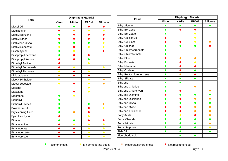| <b>Fluid</b>           | <b>Diaphragm Material</b> |                |             |                 |  |
|------------------------|---------------------------|----------------|-------------|-----------------|--|
|                        | <b>Viton</b>              | <b>Nitrile</b> | <b>EPDM</b> | <b>Silicone</b> |  |
| Diesel Oil             | O                         | $\bullet$      |             |                 |  |
| Diethlamine            |                           | $\bullet$      | $\bullet$   | $\bullet$       |  |
| Diethyl Benzene        | $\bullet$                 | O              | O           |                 |  |
| Diethyl Ether          |                           |                |             |                 |  |
| Diethylene Glycol      | $\bullet$                 | $\bullet$      | $\bullet$   | $\bullet$       |  |
| Diethyl Sebecate       | $\bullet$                 |                | $\bullet$   | $\bullet$       |  |
| Diisobutylene          | $\bullet$                 |                |             |                 |  |
| Diisopropyl Benzene    | $\bullet$                 |                |             |                 |  |
| Diisopropyl Ketone     |                           |                | $\bullet$   |                 |  |
| Dimethyl Aniline       |                           |                | $\bullet$   |                 |  |
| Dimethyl Formamide     |                           | $\bullet$      |             | $\bullet$       |  |
| Dimethyl Phthalate     | $\bullet$                 | O              | $\bullet$   |                 |  |
| Dinitrotoluene         | $\bullet$                 |                | 0           |                 |  |
| Dicotyl Phthalate      | $\bullet$                 |                | $\bullet$   | $\bullet$       |  |
| Diocyl Sebecate        | $\bullet$                 |                | $\bullet$   | $\bullet$       |  |
| Dioxane                |                           |                | $\bullet$   |                 |  |
| Dioxolune              |                           |                | $\bullet$   |                 |  |
| Dipentene              | $\bullet$                 | $\bullet$      |             |                 |  |
| Diphenyl               | $\bullet$                 |                |             |                 |  |
| Diphenyl Oxides        | $\bullet$                 |                |             | ●               |  |
| Dowtherm Oil           | $\bullet$                 |                |             | $\bullet$       |  |
| Dry cleaning fluids    | $\bullet$                 | $\bullet$      |             |                 |  |
| Epichlorochydrin       |                           |                | $\bullet$   |                 |  |
| Ethane                 | $\bullet$                 | $\bullet$      |             |                 |  |
| Ethanolamine           | O                         | $\bullet$      | $\bullet$   | $\bullet$       |  |
| <b>Ethyl Acetate</b>   |                           |                | $\bullet$   | $\bullet$       |  |
| <b>Ethyl Acetotate</b> |                           | ۰              | $\bullet$   | $\bullet$       |  |
| <b>Ethyl Acrylate</b>  |                           |                | $\bullet$   | $\bullet$       |  |

| <b>Fluid</b>                 | Diaphragm Material |                |             |                 |
|------------------------------|--------------------|----------------|-------------|-----------------|
|                              | <b>Viton</b>       | <b>Nitrile</b> | <b>EPDM</b> | <b>Silicone</b> |
| <b>Ethyl Alcohol</b>         | O                  | $\bullet$      | O           |                 |
| <b>Ethyl Benzene</b>         | $\bullet$          |                | ●           |                 |
| <b>Ethyl Benzoate</b>        | O                  |                | $\bullet$   |                 |
| <b>Ethyl Cellosolve</b>      |                    |                | $\bullet$   |                 |
| <b>Ethyl Cellulose</b>       |                    |                | $\bullet$   | $\bullet$       |
| <b>Ethyl Chloride</b>        | $\bullet$          | $\bullet$      | $\bullet$   |                 |
| <b>Ethyl Chlorocarbonate</b> | $\bullet$          |                |             |                 |
| Ethyl Chloroformate          | $\bullet$          |                |             |                 |
| <b>Ethyl Ether</b>           | 0                  | $\bullet$      | $\bullet$   |                 |
| <b>Ethyl Formate</b>         | $\bullet$          | 0              | $\bullet$   |                 |
| <b>Ethyl Mercaptan</b>       | $\bullet$          |                |             |                 |
| <b>Ethyl Oxalate</b>         | $\bullet$          |                | $\bullet$   |                 |
| Ethyl Pentochlorobenzene     | $\bullet$          | $\bullet$      |             |                 |
| <b>Ethyl Silicate</b>        | $\bullet$          | $\bullet$      | $\bullet$   |                 |
| Ethylene                     |                    | ●              |             |                 |
| Ethylene Chloride            | O                  |                | $\bullet$   |                 |
| Ethylene Chlorohydrin        | O                  |                |             | $\bullet$       |
| <b>Ethylene Diamine</b>      |                    |                | ●           | o               |
| Ethylene Dichloride          | $\bullet$          |                | $\bullet$   | $\bullet$       |
| <b>Ethylene Glycol</b>       | O                  | O              | ●           | O               |
| Ethylene Oxide               |                    |                | $\bullet$   | $\bullet$       |
| Ethylene Trichloride         |                    |                | $\bullet$   | $\bullet$       |
| <b>Fatty Acids</b>           | $\bullet$          | $\bullet$      | ●           | $\bullet$       |
| <b>Ferric Chloride</b>       | O                  | O              | $\bullet$   | $\bullet$       |
| <b>Ferric Nitrate</b>        | $\bullet$          | $\bullet$      | $\bullet$   | $\bullet$       |
| Ferric Sulphate              | $\bullet$          | $\bullet$      | $\bullet$   | $\bullet$       |
| Fish Oil                     | $\bullet$          | $\bullet$      |             | $\bullet$       |
| Fluoroboric Acid             |                    | O              | O           |                 |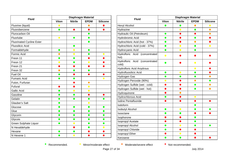| <b>Fluid</b>                     | <b>Diaphragm Material</b> |                |             |                 |
|----------------------------------|---------------------------|----------------|-------------|-----------------|
|                                  | <b>Viton</b>              | <b>Nitrile</b> | <b>EPDM</b> | <b>Silicone</b> |
| Fluorine (liquid)                | $\bullet$                 |                | $\bullet$   |                 |
| Fluorobenzene                    | $\bullet$                 |                |             |                 |
| Flurocarbon Oil                  |                           |                | ●           |                 |
| Fluorlube                        | $\bullet$                 | $\bullet$      | O           |                 |
| <b>Fluorinated Cycline Ester</b> |                           |                | O           |                 |
| <b>Fluosilicic Acid</b>          |                           | $\bullet$      |             |                 |
| Formaldehyde                     | $\bullet$                 | $\bullet$      | $\bullet$   |                 |
| Formic Acid                      | $\bullet$                 | $\bullet$      | D           | $\bullet$       |
| Freon 11                         | $\bullet$                 | $\bullet$      |             |                 |
| Freon 12                         | $\bullet$                 |                | $\bullet$   |                 |
| Freon 21                         |                           |                |             |                 |
| Freon 32                         |                           |                | e e         |                 |
| <b>Fuel Oil</b>                  |                           |                |             |                 |
| <b>Fumaric Acid</b>              |                           |                |             | $\bullet$       |
| Futon, Furfuran                  |                           |                | $\bullet$   |                 |
| <b>Fufural</b>                   |                           |                | $\bullet$   |                 |
| <b>Gallic Acid</b>               |                           | $\bullet$      | $\bullet$   |                 |
| Gasoline                         | $\bullet$                 |                |             |                 |
| Gelatin                          | ●                         |                | $\bullet$   | 0               |
| <b>Glauber's Salt</b>            |                           |                | $\bullet$   |                 |
| Glucose                          | $\bullet$                 | $\bullet$      | 0           | $\bullet$       |
| Glue                             | $\bullet$                 |                | $\bullet$   | $\bullet$       |
| Glycorin                         | $\bullet$                 | $\bullet$      | ●           | $\bullet$       |
| Glycois                          | $\bullet$                 |                | O           | $\bullet$       |
| <b>Green Sulphate Liquor</b>     | $\bullet$                 | $\bullet$      | $\bullet$   | $\bullet$       |
| N Hexaldehyde                    |                           |                | $\bullet$   | $\bullet$       |
| Hexane                           | $\bullet$                 | $\bullet$      |             |                 |
| N Hexene 1                       |                           |                |             |                 |

| <b>Fluid</b>                              | <b>Diaphragm Material</b> |                |             |                 |
|-------------------------------------------|---------------------------|----------------|-------------|-----------------|
|                                           | <b>Viton</b>              | <b>Nitrile</b> | <b>EPDM</b> | <b>Silicone</b> |
| <b>Hexyl Alcohol</b>                      | O                         | $\bullet$      | $\bullet$   | $\bullet$       |
| Hydrazine                                 |                           | $\bullet$      | $\bullet$   | $\bullet$       |
| Hydraulic Oil (Petroleum)                 |                           |                |             |                 |
| Hydrobromic Acid                          | ●                         |                | O           |                 |
| Hydrochloric Acid (hot - 37%)             |                           |                | $\bullet$   |                 |
| Hydrochloric Acid (cold - 37%)            | ●                         |                | $\bullet$   |                 |
| Hydrocyanic Acid                          |                           |                |             |                 |
| Hydrofloric Acid<br>(concentrated<br>hot) | $\bullet$                 |                |             |                 |
| Hydrofloric Acid (concentrated<br>cold)   |                           |                | $\bullet$   |                 |
| Hydrofloric Acid Anydrous                 |                           |                | $\bullet$   |                 |
| Hydrofluosilicic Acid                     | $\mathcal{L}$             | $\bullet$      | O           |                 |
| Hydrogen Gas                              |                           |                | ●           | ●               |
| Hydrogen Peroxide (90%)                   | $\bullet$                 |                | $\bullet$   |                 |
| Hydrogen Sulfide (wet - cold)             |                           |                | $\bullet$   | $\bullet$       |
| Hydrogen Sulfide (wet - hot)              |                           |                | $\bullet$   | C               |
| Hydroquinone                              |                           |                |             |                 |
| Hydrochlorous Acid                        |                           |                | $\bullet$   |                 |
| Iodine Pentafluoride                      |                           |                |             |                 |
| lodoform                                  |                           |                | 0           |                 |
| <b>Isobutyl Alcohol</b>                   | $\bullet$                 | $\bullet$      | O           |                 |
| Isooctane                                 | $\bullet$                 | $\bullet$      |             |                 |
| Isophorone                                |                           |                |             |                 |
| Isopropyl Acetate                         |                           |                |             |                 |
| Isopropyl Alcohol                         |                           | $\bullet$      | O           | $\bullet$       |
| Isopropyl Chloride                        |                           |                |             |                 |
| Isopropyl Ether                           |                           |                |             |                 |
| Kerosene                                  |                           |                |             |                 |

• Recommended.

• Minor/moderate effect

• Moderate/severe effect

• Not recommended.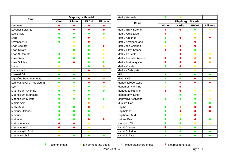| <b>Fluid</b>                   | <b>Diaphragm Material</b> |                |             |                 |
|--------------------------------|---------------------------|----------------|-------------|-----------------|
|                                | <b>Viton</b>              | <b>Nitrile</b> | <b>EPDM</b> | <b>Silicone</b> |
| Lacquers                       |                           | O              |             |                 |
| <b>Lacquer Solvents</b>        | $\bullet$                 | $\bullet$      | $\bullet$   | ●               |
| Lactic Acid                    | $\bullet$                 | $\bullet$      | $\bullet$   | $\bullet$       |
| Lard                           | $\bullet$                 | $\bullet$      |             | $\bullet$       |
| Lavender Oil                   | $\bullet$                 | $\bullet$      |             |                 |
| <b>Lead Acetate</b>            |                           | $\bullet$      | $\bullet$   |                 |
| <b>Lead Nitrate</b>            |                           | $\bullet$      | $\bullet$   | $\bullet$       |
| Lead Sulfamate                 | $\bullet$                 | $\bullet$      | $\bullet$   | $\bullet$       |
| Lime Bleach                    | $\bullet$                 | $\bullet$      | $\bullet$   | $\bullet$       |
| Lime Sulphur                   | $\bullet$                 |                | $\bullet$   |                 |
| Lindol                         | $\bullet$                 |                | ●           | ●               |
| Linoleic Acid                  | $\bullet$                 | $\bullet$      |             | $\bullet$       |
| <b>Linseed Oil</b>             | $\bullet$                 | $\bullet$      | $\bullet$   |                 |
| <b>Liquefied Petroleum Gas</b> | $\bullet$                 | 0              |             | $\bullet$       |
| Lubricating Oils (Petroleum)   | ●                         | ●              |             |                 |
| Lye                            | $\bullet$                 | $\bullet$      |             | $\bullet$       |
| Magnesium Chloride             | $\bullet$                 | $\bullet$      | $\bullet$   | D               |
| Magnesium Hydroxide            | $\bullet$                 | $\bullet$      | O           |                 |
| Magnesium Sulfate              | ●                         | $\bullet$      | $\bullet$   | ●               |
| Maleic Acid                    |                           |                |             |                 |
| Malic Acid                     |                           | $\bullet$      |             | $\bullet$       |
| <b>Mercury Chloride</b>        |                           | ●              |             |                 |
| Mercury                        | $\bullet$                 | O              | $\bullet$   |                 |
| Methane                        |                           |                |             |                 |
| Methyl Acetate                 |                           |                | $\bullet$   |                 |
| Methyl Acrylic                 |                           |                | $\bullet$   |                 |
| Methylacrylic Acid             | $\bullet$                 |                | $\bullet$   |                 |
| Methyl Alcohol                 |                           | O              | $\bullet$   |                 |

| Methyl Bromide             | $\bullet$    | $\bullet$      |                           |                 |
|----------------------------|--------------|----------------|---------------------------|-----------------|
|                            |              |                | <b>Diaphragm Material</b> |                 |
| <b>Fluid</b>               | <b>Viton</b> | <b>Nitrile</b> | <b>EPDM</b>               | <b>Silicone</b> |
| Methyl Butyl Ketone        |              |                | $\qquad \qquad$           | $\bullet$       |
| Methyl Cellosolve          |              |                | $\bullet$                 |                 |
| Methyl Chloride            | $\bullet$    |                | $\bullet$                 |                 |
| Methyl Cyclopentane        | $\bullet$    |                |                           |                 |
| Methylene Chloride         | $\bullet$    |                |                           |                 |
| Methyl Ethyl Ketone        | $\bullet$    |                | $\bullet$                 |                 |
| Methyl Formate             |              |                | $\bullet$                 | $\bullet$       |
| Methyl Isobutyl Ketone     | 0            |                | $\bullet$                 | $\bullet$       |
| Methyl Methacrylate        |              |                |                           | $\bullet$       |
| <b>Methyl Oleate</b>       | ●            |                | $\bullet$                 |                 |
| Methyle Salicylate         |              |                | $\bullet$                 |                 |
| Milic                      | $\bullet$    | $\bullet$      | $\bullet$                 | $\bullet$       |
| <b>Mineral Oil</b>         |              |                |                           | $\bullet$       |
| Monochlorobenzene          | $\bullet$    |                |                           |                 |
| Monomethyl Aniline         | $\bullet$    |                |                           |                 |
| Monoethanolamine           |              |                | $\bullet$                 | $\bullet$       |
| Monomethyl Ether           |              | O              | $\bullet$                 |                 |
| <b>Monovinyl Acetylene</b> | m.           |                |                           | $\bullet$       |
| <b>Mustard Gas</b>         |              |                | O                         | $\bullet$       |
| Naptha                     | $\bullet$    | $\bullet$      |                           |                 |
| Napthalene                 | O            | O              |                           |                 |
| Napthenic Acid             | O            | $\bullet$      |                           |                 |
| <b>Natural Gas</b>         | O            | O              |                           | $\bullet$       |
| Neatsfoot Oil              | $\bullet$    | $\bullet$      | $\bullet$                 | $\bullet$       |
| Nickel Acetate             |              | $\bullet$      | $\bullet$                 |                 |
| <b>Nickel Chloride</b>     | O            | C              | $\bullet$                 | $\bullet$       |
| <b>Nickel Sulfate</b>      | ●            | O              | $\bullet$                 | $\bullet$       |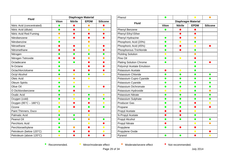| <b>Fluid</b>               |              | <b>Diaphragm Material</b> |             |                 |
|----------------------------|--------------|---------------------------|-------------|-----------------|
|                            | <b>Viton</b> | <b>Nitrile</b>            | <b>EPDM</b> | <b>Silicone</b> |
| Nitric Acid (concentrated) | $\bullet$    |                           | $\bullet$   |                 |
| Nitric Acid (dilute)       | $\bullet$    |                           | $\bullet$   | $\bullet$       |
| Nitric Acid Red Fuming     | $\bullet$    |                           |             |                 |
| Nitrobenzene               | $\bullet$    |                           |             |                 |
| Nitrobenzine               |              |                           |             |                 |
| Nitroethane                |              |                           | $\bullet$   |                 |
| Nitromethane               |              |                           | $\bullet$   |                 |
| Nitrogen                   | O            |                           |             |                 |
| Nitrogen Tetroxide         |              |                           |             |                 |
| Octadecane                 | $\bullet$    |                           |             |                 |
| N-Octane                   | $\bullet$    |                           |             |                 |
| Octachlorctoluene          | $\bullet$    |                           |             |                 |
| Octyl Alcohol              | $\bullet$    | $\bullet$                 |             | $\bullet$       |
| Oleic Acid                 | $\bullet$    |                           | $\bullet$   |                 |
| Oleum Spirits              | $\bullet$    | $\bullet$                 |             |                 |
| Olive Oil                  | $\bullet$    | ●                         | $\bullet$   |                 |
| O Dichlorobenzene          | O            |                           |             |                 |
| <b>Oxalic Acid</b>         | $\bullet$    | $\bullet$                 | $\bullet$   | $\bullet$       |
| Oxygen (cold)              | $\bullet$    | $\bullet$                 | 0           | ●               |
| Oxygen (95°C - 180°C)      | $\bullet$    |                           |             | $\bullet$       |
| Ozone                      | $\bullet$    |                           | O           | ●               |
| Paint Thinners, Duco       | $\bullet$    |                           |             |                 |
| <b>Palmatic Acid</b>       | $\bullet$    | $\bullet$                 | $\bullet$   |                 |
| Peanut Oil                 | $\bullet$    |                           | $\bullet$   |                 |
| Perchloric Acid            | $\bullet$    |                           | $\bullet$   |                 |
| Perchloroethylene          | $\bullet$    |                           |             | $\bullet$       |
| Petroleum (below 120°C)    | $\bullet$    |                           |             | $\bullet$       |
| Petroleum (above 120°C)    | $\bullet$    |                           |             |                 |

| Phenol                         | $\bullet$    |                           | $\bullet$      | $\bullet$       |
|--------------------------------|--------------|---------------------------|----------------|-----------------|
| <b>Fluid</b>                   |              | <b>Diaphragm Material</b> |                |                 |
|                                | <b>Viton</b> | <b>Nitrile</b>            | <b>EPDM</b>    | <b>Silicone</b> |
| Phenyl Benzene                 |              |                           |                |                 |
| Phenyl Ethyl Ether             |              |                           |                |                 |
| Phenyl Hydrazine               | $\bullet$    |                           | $\bullet$      |                 |
| Phosphoric Acid (20%)          | $\bullet$    |                           | ●              |                 |
| Phosphoric Acid (45%)          | o            |                           | $\bullet$      |                 |
| Phosphorous Trichloride        | O            |                           | $\bullet$      |                 |
| <b>Pickling Solution</b>       | $\bullet$    |                           | $\bullet$      |                 |
| Pine Oil                       | $\bullet$    | $\bullet$                 |                |                 |
| <b>Plating Solution Chrome</b> | $\bullet$    |                           | ●              |                 |
| Polyvinyl Acetate Emulsion     |              |                           |                |                 |
| Potassium Acetate              |              | $\bullet$                 | $\bullet$      |                 |
| Potassium Chloride             | $\bullet$    | $\bullet$                 | $\bullet$      | $\bullet$       |
| Potassium Cupro Cyanide        | $\bullet$    | 0                         | $\bullet$      | $\bullet$       |
| Potassium Cyanide              | $\bullet$    | ●                         | $\bullet$      | $\bullet$       |
| Potassium Dichromate           | $\bullet$    | $\bullet$                 | ●              | $\bullet$       |
| Potassium Hydroxide            | $\bullet$    | $\bullet$                 | $\bullet$      |                 |
| Potassium Nitrate              | $\bullet$    | $\bullet$                 | O              | $\bullet$       |
| Potassium Sulphate             |              |                           |                |                 |
| <b>Producer Gas</b>            | - 1          | O                         |                | $\bullet$       |
| Propane                        | $\bullet$    | O                         |                |                 |
| Propyl Acetate                 |              |                           | $\bullet$      |                 |
| N-Propyl Acetate               |              |                           | ●              |                 |
| Propyl Alcohol                 |              |                           | $\blacksquare$ | $\bullet$       |
| <b>Propyl Nitrate</b>          |              |                           | $\bullet$      | $\bullet$       |
| Propylene                      |              |                           |                |                 |
| Propylene Oxide                |              |                           | $\bullet$      |                 |
| Pyranol                        |              | O                         |                |                 |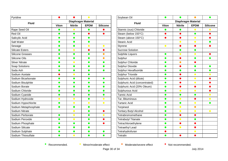| Pyridine                |              |                | $\bullet$                 |                 |
|-------------------------|--------------|----------------|---------------------------|-----------------|
| <b>Fluid</b>            |              |                | <b>Diaphragm Material</b> |                 |
|                         | <b>Viton</b> | <b>Nitrile</b> | <b>EPDM</b>               | <b>Silicone</b> |
| Rape Seed Oil           | ●            | $\bullet$      |                           |                 |
| <b>Red Oil</b>          | 0            | $\bullet$      |                           |                 |
| Salicylic Acid          | $\bullet$    | 0              | O                         |                 |
| Salt Water              | $\bullet$    | $\bullet$      |                           |                 |
| Sewage                  | $\bullet$    | $\bullet$      | $\bullet$                 | $\bullet$       |
| <b>Silicate Esters</b>  | $\bullet$    | $\bullet$      |                           |                 |
| <b>Silicone Greases</b> | $\bullet$    | $\bullet$      | $\bullet$                 | $\bullet$       |
| Silicone Oils           | $\bullet$    | $\bullet$      | $\bullet$                 | $\bullet$       |
| <b>Silver Nitrate</b>   | $\bullet$    | $\bullet$      | $\bullet$                 | $\bullet$       |
| Soap Solutions          | $\bullet$    | $\bullet$      | ●                         | $\bullet$       |
| Soda Ash                | 0            | O              | O                         | 0               |
| Sodium Acetate          |              | $\bullet$      |                           |                 |
| Sodium Bicarbonate      | $\bullet$    |                |                           | $\bullet$       |
| Sodium Bisulphite       | $\bullet$    | ●              | ●                         | ●               |
| Sodium Borate           | 0            | œ              | $\bullet$                 | $\bullet$       |
| Sodium Chloride         | $\bullet$    | O              |                           | ●               |
| Sodium Cyanide          | $\bullet$    | 0              | $\bullet$                 | $\bullet$       |
| Sodium Hydroxide        | $\bullet$    | $\bullet$      |                           | $\bullet$       |
| Sodium Hypochlorite     | $\bullet$    | $\bullet$      | $\bullet$                 | $\bullet$       |
| Sodium Metaphosphate    | $\bullet$    | ●              |                           |                 |
| Sodium Nitrate          |              | $\bullet$      |                           |                 |
| Sodium Perborate        | $\bullet$    | $\bullet$      | O                         | $\bullet$       |
| Sodium Peroxide         | 0            | $\bullet$      |                           |                 |
| Sodium Phosphate        | $\bullet$    | $\bullet$      | 0                         |                 |
| Sodium Silicate         | $\bullet$    | O              |                           |                 |
| Sodium Sulphate         | $\bullet$    | $\bullet$      | $\bullet$                 | $\bullet$       |
| Sodium Thiosulfate      |              |                |                           |                 |

| Soybean Oil                   | $\bullet$    | O                         |             | $\bullet$       |
|-------------------------------|--------------|---------------------------|-------------|-----------------|
| <b>Fluid</b>                  |              | <b>Diaphragm Material</b> |             |                 |
|                               | <b>Viton</b> | <b>Nitrile</b>            | <b>EPDM</b> | <b>Silicone</b> |
| Stannic (ous) Chloride        |              |                           | $\bullet$   |                 |
| Steam (below 150°C)           |              |                           | $\bullet$   |                 |
| Steam (above 150°C)           |              |                           | $\bullet$   |                 |
| <b>Stearic Acid</b>           |              | $\bullet$                 | $\bullet$   | o               |
| Styrene                       | $\bullet$    |                           |             |                 |
| <b>Sucrose Solution</b>       |              | e i                       | $\bullet$   |                 |
| <b>Sulphite Liquors</b>       | $\bullet$    | $\bullet$                 | $\bullet$   |                 |
| Sulphur                       | $\bullet$    |                           | $\bullet$   |                 |
| <b>Sulphur Chloride</b>       | $\bullet$    | $\bullet$                 |             |                 |
| <b>Sulphur Dioxide</b>        | O            |                           | 0           | $\bullet$       |
| Sulphur Hexafluoride          | $\bullet$    | o                         | $\bullet$   | $\bullet$       |
| <b>Sulphur Trioxide</b>       | $\bullet$    |                           | $\bullet$   | $\bullet$       |
| Sulphuric Acid (dilute)       | $\bullet$    |                           | $\bullet$   |                 |
| Sulphuric Acid (concentrated) | ●            |                           | $\bullet$   |                 |
| Sulphuric Acid (20% Oleum)    | O            |                           |             |                 |
| Sulphurous Acid               | O            | $\bullet$                 | $\bullet$   |                 |
| <b>Tannic Acid</b>            | O            | $\bullet$                 | $\bullet$   | $\bullet$       |
| Tar, Bituminous               |              | $\bullet$                 |             | $\bullet$       |
| <b>Tartaric Acid</b>          | o            | 0                         | $\bullet$   | $\bullet$       |
| Terpineol                     | O            | $\bullet$                 | $\bullet$   |                 |
| <b>Tertiary Butyl Alcohol</b> | O            | $\bullet$                 | $\bullet$   | $\bullet$       |
| Tetrabromomethane             | ●            | ۰                         | D           |                 |
| <b>Tetrabutyl Titanate</b>    | O            | $\bullet$                 | o           |                 |
| Tetrachloroethylene           | O            | O                         |             |                 |
| <b>Tetraethyl Lead</b>        | O            | $\bullet$                 |             |                 |
| Tetrahydrofuran               |              |                           | $\bullet$   |                 |
| Tetralin                      |              |                           |             |                 |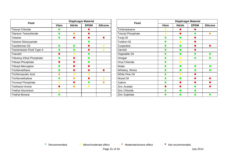| <b>Fluid</b>                     |              | <b>Diaphragm Material</b> |             |                 |  |
|----------------------------------|--------------|---------------------------|-------------|-----------------|--|
|                                  | <b>Viton</b> | <b>Nitrile</b>            | <b>EPDM</b> | <b>Silicone</b> |  |
| <b>Thionyl Chloride</b>          |              |                           |             |                 |  |
| <b>Titanium Tetrachloride</b>    |              |                           |             |                 |  |
| <b>Toluene</b>                   |              |                           |             |                 |  |
| Toluene Diisocyanate             |              |                           |             |                 |  |
| <b>Transformer Oil</b>           |              |                           |             | $\bullet$       |  |
| Transmission Fluid Type A        |              |                           |             |                 |  |
| Triacetin                        |              |                           |             |                 |  |
| <b>Tributoxy Ethyl Phosphate</b> |              |                           |             |                 |  |
| <b>Tributyl Phosphate</b>        |              |                           |             |                 |  |
| <b>Tributyl Mercapton</b>        |              |                           |             |                 |  |
| Trichloroethane                  |              |                           |             |                 |  |
| <b>Trichloroacetic Acid</b>      |              |                           |             |                 |  |
| Trichloroethylene                |              |                           |             |                 |  |
| <b>Tricreoyl Phosphate</b>       |              |                           |             |                 |  |
| <b>Triethanol Amine</b>          |              |                           |             |                 |  |
| <b>Triethyl Aluminium</b>        |              |                           |             |                 |  |
| <b>Triethyl Borane</b>           |              |                           |             |                 |  |

| <b>Fluid</b>              | Diaphragm Material |                        |             |                 |
|---------------------------|--------------------|------------------------|-------------|-----------------|
|                           | <b>Viton</b>       | <b>Nitrile</b>         | <b>EPDM</b> | <b>Silicone</b> |
| Trinitrotoluene           | $\bullet$          |                        |             |                 |
| <b>Trioctyl Phosphate</b> | $\bullet$          |                        |             | c               |
| Tung Oil                  |                    |                        |             |                 |
| <b>Turbine Oil</b>        |                    | $\bullet$              |             |                 |
| Turpentine                |                    |                        |             |                 |
| Varnish                   |                    |                        |             |                 |
| Vegetable Oil             |                    |                        |             |                 |
| Vinegar                   |                    | $\blacksquare$         |             |                 |
| Vinyl Chloride            |                    | $\blacksquare$         |             |                 |
| Water                     |                    | <b>Service Service</b> |             |                 |
| Whiskey, Wines            |                    |                        |             |                 |
| White Pine Oil            |                    | $\bullet$              |             |                 |
| Wood Oil                  |                    |                        |             |                 |
| Xylene                    |                    |                        |             |                 |
| <b>Zinc Acetate</b>       |                    |                        |             |                 |
| <b>Zinc Chloride</b>      |                    |                        |             |                 |
| <b>Zinc Sulphate</b>      |                    |                        |             |                 |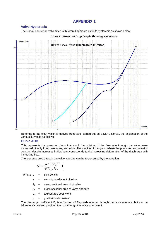### **APPENDIX 1**

### **Valve Hysteresis**

The Norval non-return valve fitted with Viton diaphragm exhibits hysteresis as shown below.



### **Chart 11: Pressure Drop Graph Showing Hysteresis.**

Referring to the chart which is derived from tests carried out on a DN40 Norval, the explanation of the various curves is as follows.

### **Curve ADB**

This represents the pressure drops that would be obtained if the flow rate through the valve were increased directly from zero to any set value. The section of the graph where the pressure drop remains constant despite increases in flow rate, corresponds to the increasing deformation of the diaphragm with increasing flow.

The pressure drop through the valve aperture can be represented by the equation:

$$
\Delta P = \frac{\rho v^2}{2gC_o^2} \left[ \left( \frac{A_{\rho}}{A_{\nu}} \right)^2 - 1 \right]
$$

Where  $\rho =$  fluid density

 $v =$  velocity in adjacent pipeline

 $A<sub>o</sub>$  = cross sectional area of pipeline

- $A<sub>v</sub>$  = cross sectional area of valve aperture
- $C_0$  = a discharge coefficient
- g = gravitational constant

The discharge coefficient  $C_0$  is a function of Reynolds number through the valve aperture, but can be taken as a constant, provided the flow through the valve is turbulent.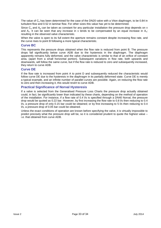The value of  $C_0$  has been determined for the case of the DN20 valve with a Viton diaphragm, to be 0.84 in turbulent flow and 0.52 in laminar flow. For other sizes this value has yet to be determined.

Since  $C_0$  and  $A_p$  can be taken as constant for any particular installation the pressure drop depends on v and  $A_v$ . It can be seen that any increase in v tends to be compensated by an equal increase in  $A_v$ ; resulting in the observed valve characteristic.

When the valve is open to its full extent the aperture remains constant despite increasing flow rate, and the curve rises to point B following a more typical characteristic.

### **Curve BC**

This represents the pressure drops obtained when the flow rate is reduced from point B. The pressure drops fall significantly below curve ADB due to the hysteresis in the diaphragm. The diaphragm apparently remains fully deformed, and the valve characteristic is similar to that of an orifice of constant area, (apart from a small horizontal portion). Subsequent variations in flow rate, both upwards and downwards, will follow the same curve, but if the flow rate is reduced to zero and subsequently increased, they return to curve ADB.

### **Curve DE**

If the flow rate is increased from point A to point D and subsequently reduced the characteristic would follow curve DE due to the hysteresis in the diaphragm in its partially deformed state. Curve DE is merely a typical example, and an infinite number of parallel curves are possible. Again, on reducing the flow rate to zero and then increasing it, this would revert to curve ADB.

### **Practical Significance of Norval Hysteresis**

If a valve is selected from the Generalised Pressure Loss Charts the pressure drop actually obtained could, in fact, be significantly lower than indicated by these charts, depending on the method of operation of the installation. For instance, if a flow rate of 0.4 l/s is specified through a DN40 Norval, the pressure drop would be quoted as 0.22 bar. However, by first increasing the flow rate to 0.8 l/s then reducing to 0.4 l/s, a pressure drop of only 0.15 bar could be obtained; or by first increasing to 5 l/s then reducing to 0.4 l/s, a pressure drop of 0.05 bar could be obtained.

Unless the exact conditions of operation are known before specifying the valve, it is virtually impossible to predict precisely what the pressure drop will be, so it is considered prudent to quote the highest value – i.e. that obtained from curve ADB.